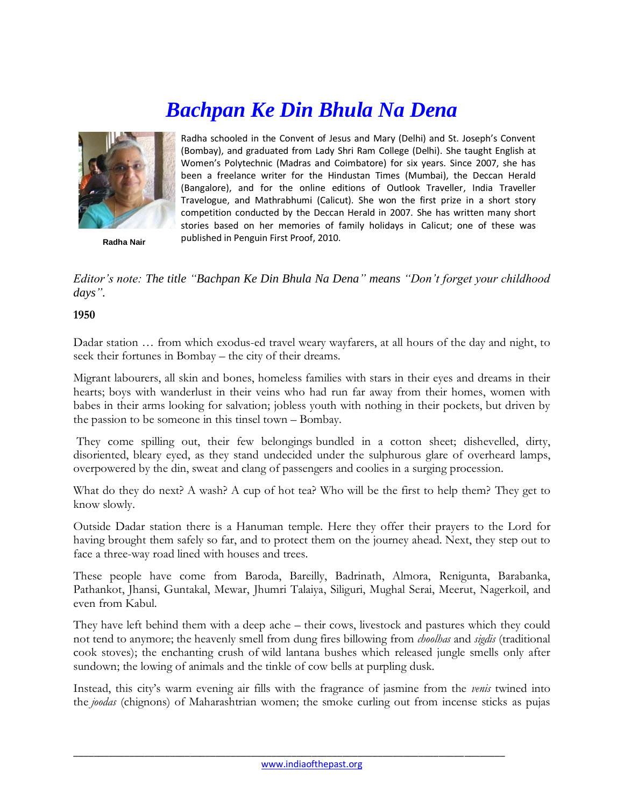## *Bachpan Ke Din Bhula Na Dena*



**Radha Nair**

Radha schooled in the Convent of Jesus and Mary (Delhi) and St. Joseph's Convent (Bombay), and graduated from Lady Shri Ram College (Delhi). She taught English at Women's Polytechnic (Madras and Coimbatore) for six years. Since 2007, she has been a freelance writer for the Hindustan Times (Mumbai), the Deccan Herald (Bangalore), and for the online editions of Outlook Traveller, India Traveller Travelogue, and Mathrabhumi (Calicut). She won the first prize in a short story competition conducted by the Deccan Herald in 2007. She has written many short stories based on her memories of family holidays in Calicut; one of these was published in Penguin First Proof, 2010.

*Editor's note: The title "Bachpan Ke Din Bhula Na Dena" means "Don't forget your childhood days".*

## **1950**

Dadar station … from which exodus-ed travel weary wayfarers, at all hours of the day and night, to seek their fortunes in Bombay – the city of their dreams.

Migrant labourers, all skin and bones, homeless families with stars in their eyes and dreams in their hearts; boys with wanderlust in their veins who had run far away from their homes, women with babes in their arms looking for salvation; jobless youth with nothing in their pockets, but driven by the passion to be someone in this tinsel town – Bombay.

They come spilling out, their few belongings bundled in a cotton sheet; dishevelled, dirty, disoriented, bleary eyed, as they stand undecided under the sulphurous glare of overheard lamps, overpowered by the din, sweat and clang of passengers and coolies in a surging procession.

What do they do next? A wash? A cup of hot tea? Who will be the first to help them? They get to know slowly.

Outside Dadar station there is a Hanuman temple. Here they offer their prayers to the Lord for having brought them safely so far, and to protect them on the journey ahead. Next, they step out to face a three-way road lined with houses and trees.

These people have come from Baroda, Bareilly, Badrinath, Almora, Renigunta, Barabanka, Pathankot, Jhansi, Guntakal, Mewar, Jhumri Talaiya, Siliguri, Mughal Serai, Meerut, Nagerkoil, and even from Kabul.

They have left behind them with a deep ache – their cows, livestock and pastures which they could not tend to anymore; the heavenly smell from dung fires billowing from *choolhas* and *sigdis* (traditional cook stoves); the enchanting crush of wild lantana bushes which released jungle smells only after sundown; the lowing of animals and the tinkle of cow bells at purpling dusk.

Instead, this city's warm evening air fills with the fragrance of jasmine from the *venis* twined into the *joodas* (chignons) of Maharashtrian women; the smoke curling out from incense sticks as pujas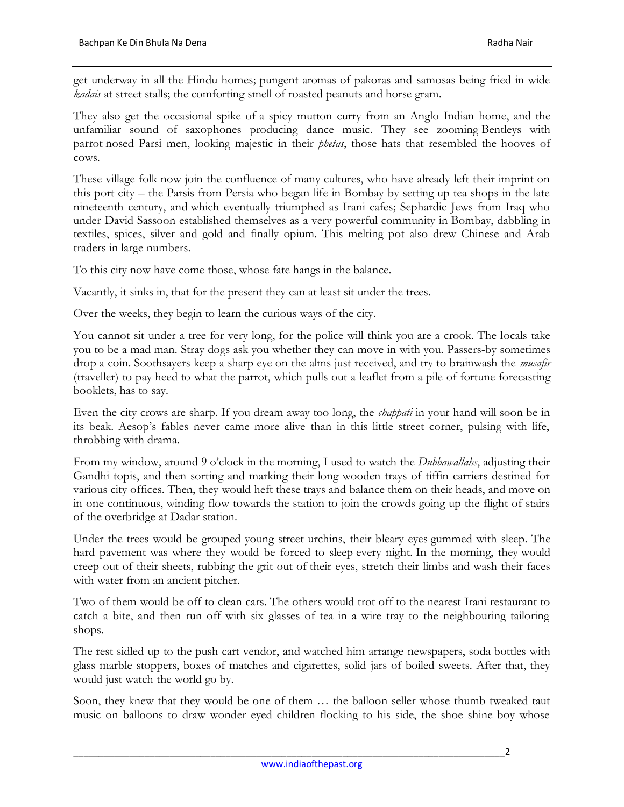get underway in all the Hindu homes; pungent aromas of pakoras and samosas being fried in wide *kadais* at street stalls; the comforting smell of roasted peanuts and horse gram.

They also get the occasional spike of a spicy mutton curry from an Anglo Indian home, and the unfamiliar sound of saxophones producing dance music. They see zooming Bentleys with parrot nosed Parsi men, looking majestic in their *phetas*, those hats that resembled the hooves of cows.

These village folk now join the confluence of many cultures, who have already left their imprint on this port city – the Parsis from Persia who began life in Bombay by setting up tea shops in the late nineteenth century, and which eventually triumphed as Irani cafes; Sephardic Jews from Iraq who under David Sassoon established themselves as a very powerful community in Bombay, dabbling in textiles, spices, silver and gold and finally opium. This melting pot also drew Chinese and Arab traders in large numbers.

To this city now have come those, whose fate hangs in the balance.

Vacantly, it sinks in, that for the present they can at least sit under the trees.

Over the weeks, they begin to learn the curious ways of the city.

You cannot sit under a tree for very long, for the police will think you are a crook. The locals take you to be a mad man. Stray dogs ask you whether they can move in with you. Passers-by sometimes drop a coin. Soothsayers keep a sharp eye on the alms just received, and try to brainwash the *musafir* (traveller) to pay heed to what the parrot, which pulls out a leaflet from a pile of fortune forecasting booklets, has to say.

Even the city crows are sharp. If you dream away too long, the *chappati* in your hand will soon be in its beak. Aesop's fables never came more alive than in this little street corner, pulsing with life, throbbing with drama.

From my window, around 9 o'clock in the morning, I used to watch the *Dubbawallahs*, adjusting their Gandhi topis, and then sorting and marking their long wooden trays of tiffin carriers destined for various city offices. Then, they would heft these trays and balance them on their heads, and move on in one continuous, winding flow towards the station to join the crowds going up the flight of stairs of the overbridge at Dadar station.

Under the trees would be grouped young street urchins, their bleary eyes gummed with sleep. The hard pavement was where they would be forced to sleep every night. In the morning, they would creep out of their sheets, rubbing the grit out of their eyes, stretch their limbs and wash their faces with water from an ancient pitcher.

Two of them would be off to clean cars. The others would trot off to the nearest Irani restaurant to catch a bite, and then run off with six glasses of tea in a wire tray to the neighbouring tailoring shops.

The rest sidled up to the push cart vendor, and watched him arrange newspapers, soda bottles with glass marble stoppers, boxes of matches and cigarettes, solid jars of boiled sweets. After that, they would just watch the world go by.

Soon, they knew that they would be one of them … the balloon seller whose thumb tweaked taut music on balloons to draw wonder eyed children flocking to his side, the shoe shine boy whose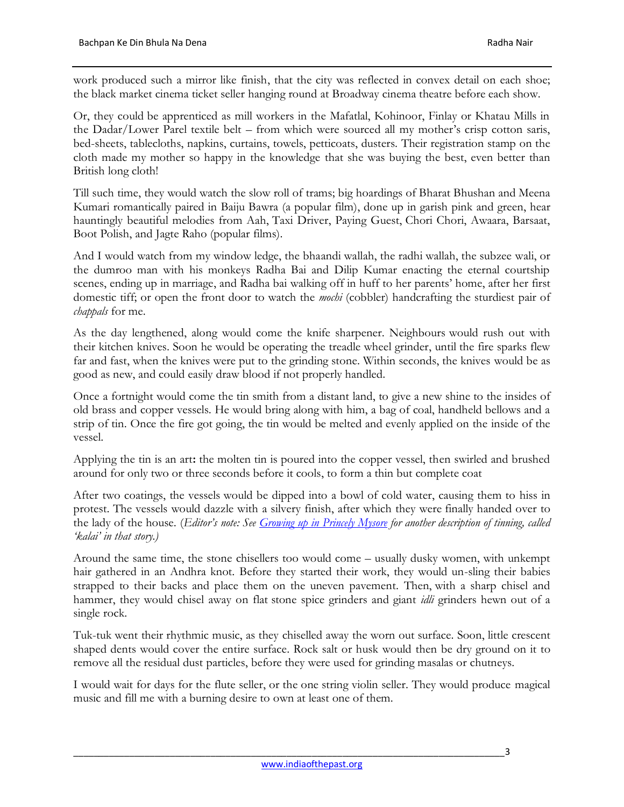work produced such a mirror like finish, that the city was reflected in convex detail on each shoe; the black market cinema ticket seller hanging round at Broadway cinema theatre before each show.

Or, they could be apprenticed as mill workers in the Mafatlal, Kohinoor, Finlay or Khatau Mills in the Dadar/Lower Parel textile belt – from which were sourced all my mother's crisp cotton saris, bed-sheets, tablecloths, napkins, curtains, towels, petticoats, dusters. Their registration stamp on the cloth made my mother so happy in the knowledge that she was buying the best, even better than British long cloth!

Till such time, they would watch the slow roll of trams; big hoardings of Bharat Bhushan and Meena Kumari romantically paired in Baiju Bawra (a popular film), done up in garish pink and green, hear hauntingly beautiful melodies from Aah, Taxi Driver, Paying Guest, Chori Chori, Awaara, Barsaat, Boot Polish, and Jagte Raho (popular films).

And I would watch from my window ledge, the bhaandi wallah, the radhi wallah, the subzee wali, or the dumroo man with his monkeys Radha Bai and Dilip Kumar enacting the eternal courtship scenes, ending up in marriage, and Radha bai walking off in huff to her parents' home, after her first domestic tiff; or open the front door to watch the *mochi* (cobbler) handcrafting the sturdiest pair of *chappals* for me.

As the day lengthened, along would come the knife sharpener. Neighbours would rush out with their kitchen knives. Soon he would be operating the treadle wheel grinder, until the fire sparks flew far and fast, when the knives were put to the grinding stone. Within seconds, the knives would be as good as new, and could easily draw blood if not properly handled.

Once a fortnight would come the tin smith from a distant land, to give a new shine to the insides of old brass and copper vessels. He would bring along with him, a bag of coal, handheld bellows and a strip of tin. Once the fire got going, the tin would be melted and evenly applied on the inside of the vessel.

Applying the tin is an art**:** the molten tin is poured into the copper vessel, then swirled and brushed around for only two or three seconds before it cools, to form a thin but complete coat

After two coatings, the vessels would be dipped into a bowl of cold water, causing them to hiss in protest. The vessels would dazzle with a silvery finish, after which they were finally handed over to the lady of the house. (*Editor's note: See [Growing up in Princely Mysore](http://www.indiaofthepast.org/contribute-memories/read-contributions/life-back-then/285-growing-up-in-princely-mysore) for another description of tinning, called 'kalai' in that story.)*

Around the same time, the stone chisellers too would come – usually dusky women, with unkempt hair gathered in an Andhra knot. Before they started their work, they would un-sling their babies strapped to their backs and place them on the uneven pavement. Then, with a sharp chisel and hammer, they would chisel away on flat stone spice grinders and giant *idli* grinders hewn out of a single rock.

Tuk-tuk went their rhythmic music, as they chiselled away the worn out surface. Soon, little crescent shaped dents would cover the entire surface. Rock salt or husk would then be dry ground on it to remove all the residual dust particles, before they were used for grinding masalas or chutneys.

I would wait for days for the flute seller, or the one string violin seller. They would produce magical music and fill me with a burning desire to own at least one of them.